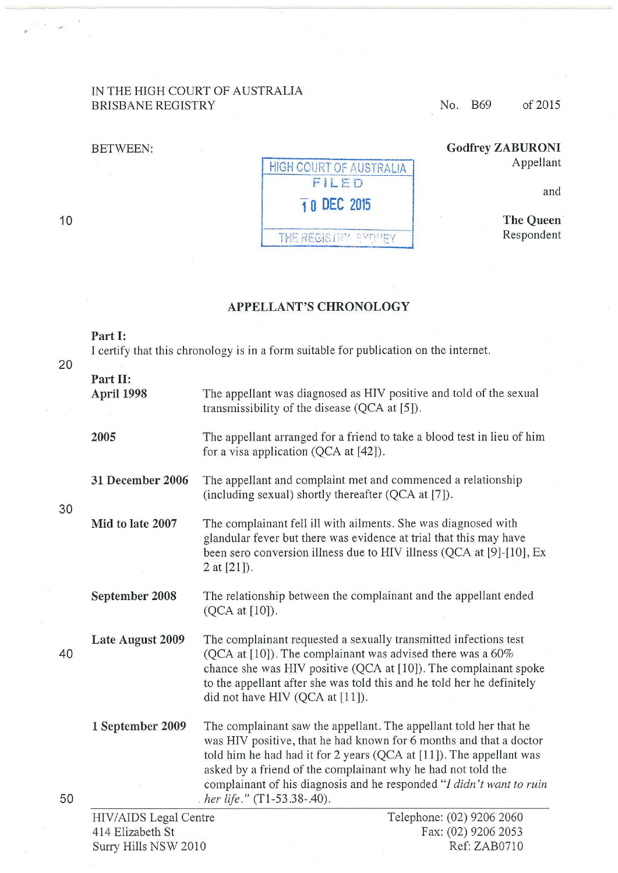## IN THE HIGH COURT OF AUSTRALIA BRISBANE REGISTRY No. B69 of 2015

#### BETWEEN:



# **Godfrey ZABURONI**  Appellant

and

**The Queen·**  Respondent

### **APPELLANT'S CHRONOLOGY**

# I certify that this chronology is in a form suitable for publication on the internet.

**Part 1:** 

| Part II:<br>April 1998<br>The appellant was diagnosed as HIV positive and told of the sexual<br>transmissibility of the disease (QCA at [5]).<br>2005<br>The appellant arranged for a friend to take a blood test in lieu of him<br>for a visa application ( $QCA$ at $[42]$ ).<br>The appellant and complaint met and commenced a relationship<br><b>31 December 2006</b><br>(including sexual) shortly thereafter (QCA at [7]).<br>30<br>Mid to late 2007<br>The complainant fell ill with ailments. She was diagnosed with<br>glandular fever but there was evidence at trial that this may have<br>been sero conversion illness due to HIV illness (QCA at [9]-[10], Ex<br>2 at $[21]$ ). |  |
|-----------------------------------------------------------------------------------------------------------------------------------------------------------------------------------------------------------------------------------------------------------------------------------------------------------------------------------------------------------------------------------------------------------------------------------------------------------------------------------------------------------------------------------------------------------------------------------------------------------------------------------------------------------------------------------------------|--|
|                                                                                                                                                                                                                                                                                                                                                                                                                                                                                                                                                                                                                                                                                               |  |
|                                                                                                                                                                                                                                                                                                                                                                                                                                                                                                                                                                                                                                                                                               |  |
|                                                                                                                                                                                                                                                                                                                                                                                                                                                                                                                                                                                                                                                                                               |  |
|                                                                                                                                                                                                                                                                                                                                                                                                                                                                                                                                                                                                                                                                                               |  |
| September 2008<br>The relationship between the complainant and the appellant ended<br>(QCA at [10]).                                                                                                                                                                                                                                                                                                                                                                                                                                                                                                                                                                                          |  |
| The complainant requested a sexually transmitted infections test<br>Late August 2009<br>(QCA at $[10]$ ). The complainant was advised there was a 60%<br>40<br>chance she was HIV positive (QCA at [10]). The complainant spoke<br>to the appellant after she was told this and he told her he definitely<br>did not have HIV (QCA at [11]).                                                                                                                                                                                                                                                                                                                                                  |  |
| The complainant saw the appellant. The appellant told her that he<br>1 September 2009<br>was HIV positive, that he had known for 6 months and that a doctor<br>told him he had had it for 2 years (QCA at [11]). The appellant was<br>asked by a friend of the complainant why he had not told the<br>complainant of his diagnosis and he responded "I didn't want to ruin<br>50<br>. her life." $(T1-53.38-.40)$ .                                                                                                                                                                                                                                                                           |  |
| Telephone: (02) 9206 2060<br>HIV/AIDS Legal Centre<br>$F_{2}y$ (02) 0206 2053<br>$414$ Elizabeth St.                                                                                                                                                                                                                                                                                                                                                                                                                                                                                                                                                                                          |  |

10

20

30